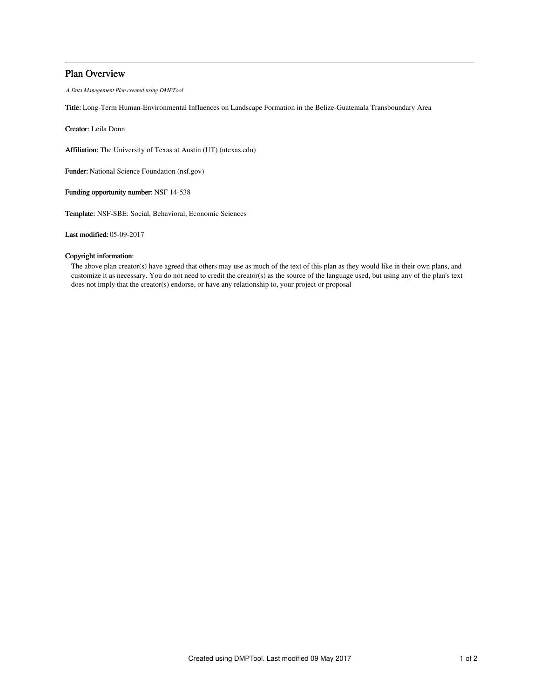## Plan Overview

A Data Management Plan created using DMPTool

Title: Long-Term Human-Environmental Influences on Landscape Formation in the Belize-Guatemala Transboundary Area

Creator: Leila Donn

Affiliation: The University of Texas at Austin (UT) (utexas.edu)

Funder: National Science Foundation (nsf.gov)

Funding opportunity number: NSF 14-538

Template: NSF-SBE: Social, Behavioral, Economic Sciences

Last modified: 05-09-2017

### Copyright information:

The above plan creator(s) have agreed that others may use as much of the text of this plan as they would like in their own plans, and customize it as necessary. You do not need to credit the creator(s) as the source of the language used, but using any of the plan's text does not imply that the creator(s) endorse, or have any relationship to, your project or proposal